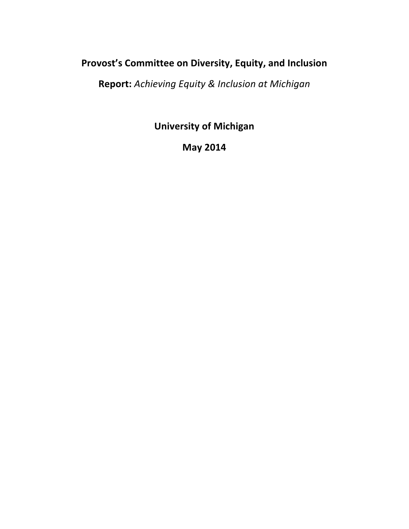# Provost's Committee on Diversity, Equity, and Inclusion

**Report:** *Achieving Equity & Inclusion at Michigan*

**University of Michigan** 

**May 2014**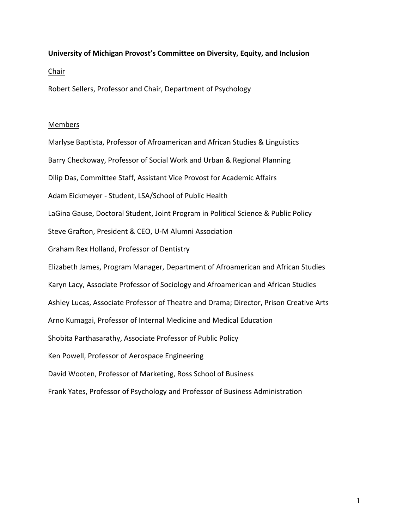## University of Michigan Provost's Committee on Diversity, Equity, and Inclusion

Chair 

Robert Sellers, Professor and Chair, Department of Psychology

#### Members

Marlyse Baptista, Professor of Afroamerican and African Studies & Linguistics Barry Checkoway, Professor of Social Work and Urban & Regional Planning Dilip Das, Committee Staff, Assistant Vice Provost for Academic Affairs Adam Eickmeyer - Student, LSA/School of Public Health LaGina Gause, Doctoral Student, Joint Program in Political Science & Public Policy Steve Grafton, President & CEO, U-M Alumni Association Graham Rex Holland, Professor of Dentistry Elizabeth James, Program Manager, Department of Afroamerican and African Studies Karyn Lacy, Associate Professor of Sociology and Afroamerican and African Studies Ashley Lucas, Associate Professor of Theatre and Drama; Director, Prison Creative Arts Arno Kumagai, Professor of Internal Medicine and Medical Education Shobita Parthasarathy, Associate Professor of Public Policy Ken Powell, Professor of Aerospace Engineering David Wooten, Professor of Marketing, Ross School of Business Frank Yates, Professor of Psychology and Professor of Business Administration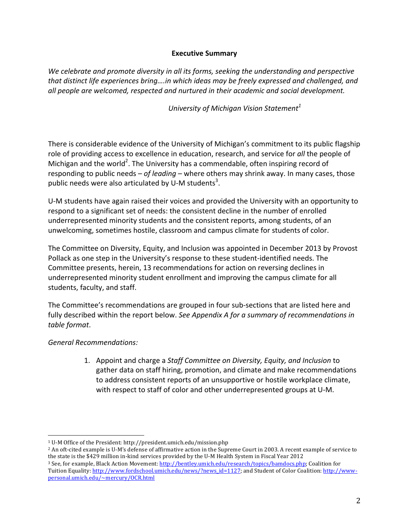# **Executive Summary**

We celebrate and promote diversity in all its forms, seeking the understanding and perspective that distinct life experiences bring....in which ideas may be freely expressed and challenged, and all people are welcomed, respected and nurtured in their academic and social development.

*University of Michigan Vision Statement<sup>1</sup>* 

There is considerable evidence of the University of Michigan's commitment to its public flagship role of providing access to excellence in education, research, and service for *all* the people of Michigan and the world<sup>2</sup>. The University has a commendable, often inspiring record of responding to public needs – *of leading* – where others may shrink away. In many cases, those public needs were also articulated by U-M students<sup>3</sup>.

U-M students have again raised their voices and provided the University with an opportunity to respond to a significant set of needs: the consistent decline in the number of enrolled underrepresented minority students and the consistent reports, among students, of an unwelcoming, sometimes hostile, classroom and campus climate for students of color.

The Committee on Diversity, Equity, and Inclusion was appointed in December 2013 by Provost Pollack as one step in the University's response to these student-identified needs. The Committee presents, herein, 13 recommendations for action on reversing declines in underrepresented minority student enrollment and improving the campus climate for all students, faculty, and staff.

The Committee's recommendations are grouped in four sub-sections that are listed here and fully described within the report below. See Appendix A for a summary of recommendations in *table format*. 

# *General Recommendations:*

1. Appoint and charge a Staff Committee on Diversity, Equity, and Inclusion to gather data on staff hiring, promotion, and climate and make recommendations to address consistent reports of an unsupportive or hostile workplace climate, with respect to staff of color and other underrepresented groups at U-M.

<sup>2</sup> An oft-cited example is U-M's defense of affirmative action in the Supreme Court in 2003. A recent example of service to the state is the \$429 million in-kind services provided by the U-M Health System in Fiscal Year 2012 <sup>3</sup> See, for example, Black Action Movement: http://bentley.umich.edu/research/topics/bamdocs.php; Coalition for Tuition Equality: http://www.fordschool.umich.edu/news/?news\_id=1127; and Student of Color Coalition: http://www-

<sup>&</sup>lt;sup>1</sup> U-M Office of the President: http://president.umich.edu/mission.php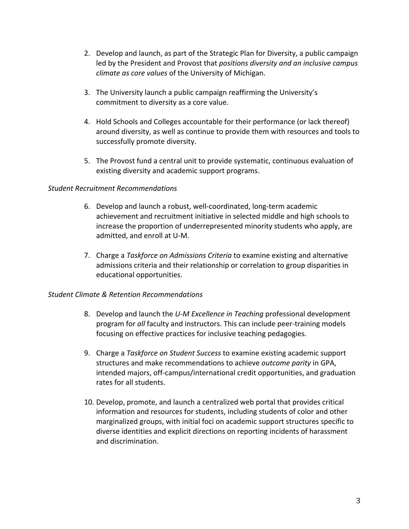- 2. Develop and launch, as part of the Strategic Plan for Diversity, a public campaign led by the President and Provost that *positions diversity and an inclusive campus climate as core values* of the University of Michigan.
- 3. The University launch a public campaign reaffirming the University's commitment to diversity as a core value.
- 4. Hold Schools and Colleges accountable for their performance (or lack thereof) around diversity, as well as continue to provide them with resources and tools to successfully promote diversity.
- 5. The Provost fund a central unit to provide systematic, continuous evaluation of existing diversity and academic support programs.

## *Student Recruitment Recommendations*

- 6. Develop and launch a robust, well-coordinated, long-term academic achievement and recruitment initiative in selected middle and high schools to increase the proportion of underrepresented minority students who apply, are admitted, and enroll at U-M.
- 7. Charge a *Taskforce on Admissions Criteria* to examine existing and alternative admissions criteria and their relationship or correlation to group disparities in educational opportunities.

# *Student Climate & Retention Recommendations*

- 8. Develop and launch the *U-M Excellence in Teaching* professional development program for *all* faculty and instructors. This can include peer-training models focusing on effective practices for inclusive teaching pedagogies.
- 9. Charge a *Taskforce on Student Success* to examine existing academic support structures and make recommendations to achieve *outcome parity* in GPA, intended majors, off-campus/international credit opportunities, and graduation rates for all students.
- 10. Develop, promote, and launch a centralized web portal that provides critical information and resources for students, including students of color and other marginalized groups, with initial foci on academic support structures specific to diverse identities and explicit directions on reporting incidents of harassment and discrimination.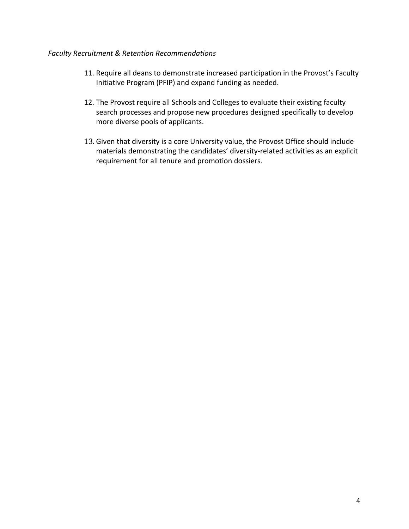## *Faculty Recruitment & Retention Recommendations*

- 11. Require all deans to demonstrate increased participation in the Provost's Faculty Initiative Program (PFIP) and expand funding as needed.
- 12. The Provost require all Schools and Colleges to evaluate their existing faculty search processes and propose new procedures designed specifically to develop more diverse pools of applicants.
- 13. Given that diversity is a core University value, the Provost Office should include materials demonstrating the candidates' diversity-related activities as an explicit requirement for all tenure and promotion dossiers.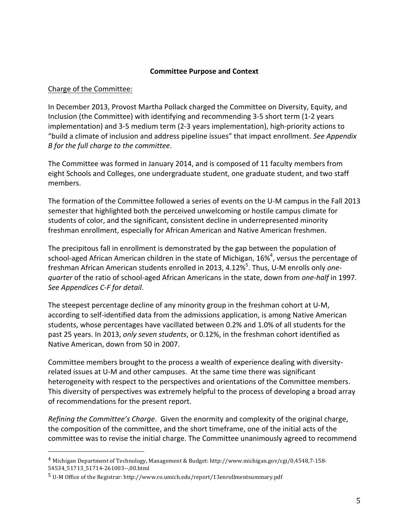## **Committee Purpose and Context**

#### Charge of the Committee:

In December 2013, Provost Martha Pollack charged the Committee on Diversity, Equity, and Inclusion (the Committee) with identifying and recommending 3-5 short term (1-2 years implementation) and 3-5 medium term (2-3 years implementation), high-priority actions to "build a climate of inclusion and address pipeline issues" that impact enrollment. See Appendix *B* for the full charge to the committee.

The Committee was formed in January 2014, and is composed of 11 faculty members from eight Schools and Colleges, one undergraduate student, one graduate student, and two staff members. 

The formation of the Committee followed a series of events on the U-M campus in the Fall 2013 semester that highlighted both the perceived unwelcoming or hostile campus climate for students of color, and the significant, consistent decline in underrepresented minority freshman enrollment, especially for African American and Native American freshmen.

The precipitous fall in enrollment is demonstrated by the gap between the population of school-aged African American children in the state of Michigan, 16%<sup>4</sup>, versus the percentage of freshman African American students enrolled in 2013, 4.12%<sup>5</sup>. Thus, U-M enrolls only one*quarter* of the ratio of school-aged African Americans in the state, down from *one-half* in 1997. See Appendices C-F for detail.

The steepest percentage decline of any minority group in the freshman cohort at U-M, according to self-identified data from the admissions application, is among Native American students, whose percentages have vacillated between 0.2% and 1.0% of all students for the past 25 years. In 2013, *only seven students*, or 0.12%, in the freshman cohort identified as Native American, down from 50 in 2007.

Committee members brought to the process a wealth of experience dealing with diversityrelated issues at U-M and other campuses. At the same time there was significant heterogeneity with respect to the perspectives and orientations of the Committee members. This diversity of perspectives was extremely helpful to the process of developing a broad array of recommendations for the present report.

*Refining the Committee's Charge.* Given the enormity and complexity of the original charge, the composition of the committee, and the short timeframe, one of the initial acts of the committee was to revise the initial charge. The Committee unanimously agreed to recommend

<sup>&</sup>lt;sup>4</sup> Michigan Department of Technology, Management & Budget: http://www.michigan.gov/cgi/0,4548,7-158-54534\_51713\_51714-261003--,00.html

 $5$  U-M Office of the Registrar: http://www.ro.umich.edu/report/13enrollmentsummary.pdf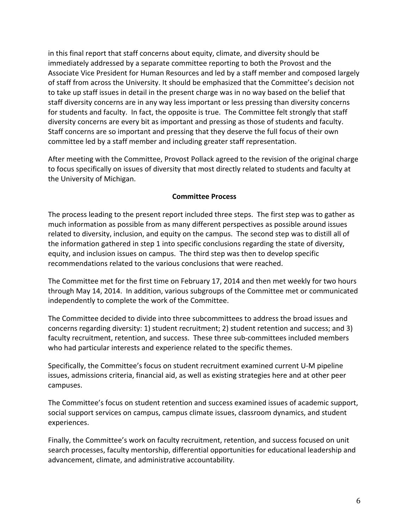in this final report that staff concerns about equity, climate, and diversity should be immediately addressed by a separate committee reporting to both the Provost and the Associate Vice President for Human Resources and led by a staff member and composed largely of staff from across the University. It should be emphasized that the Committee's decision not to take up staff issues in detail in the present charge was in no way based on the belief that staff diversity concerns are in any way less important or less pressing than diversity concerns for students and faculty. In fact, the opposite is true. The Committee felt strongly that staff diversity concerns are every bit as important and pressing as those of students and faculty. Staff concerns are so important and pressing that they deserve the full focus of their own committee led by a staff member and including greater staff representation.

After meeting with the Committee, Provost Pollack agreed to the revision of the original charge to focus specifically on issues of diversity that most directly related to students and faculty at the University of Michigan.

## **Committee Process**

The process leading to the present report included three steps. The first step was to gather as much information as possible from as many different perspectives as possible around issues related to diversity, inclusion, and equity on the campus. The second step was to distill all of the information gathered in step 1 into specific conclusions regarding the state of diversity, equity, and inclusion issues on campus. The third step was then to develop specific recommendations related to the various conclusions that were reached.

The Committee met for the first time on February 17, 2014 and then met weekly for two hours through May 14, 2014. In addition, various subgroups of the Committee met or communicated independently to complete the work of the Committee.

The Committee decided to divide into three subcommittees to address the broad issues and concerns regarding diversity: 1) student recruitment; 2) student retention and success; and 3) faculty recruitment, retention, and success. These three sub-committees included members who had particular interests and experience related to the specific themes.

Specifically, the Committee's focus on student recruitment examined current U-M pipeline issues, admissions criteria, financial aid, as well as existing strategies here and at other peer campuses. 

The Committee's focus on student retention and success examined issues of academic support, social support services on campus, campus climate issues, classroom dynamics, and student experiences. 

Finally, the Committee's work on faculty recruitment, retention, and success focused on unit search processes, faculty mentorship, differential opportunities for educational leadership and advancement, climate, and administrative accountability.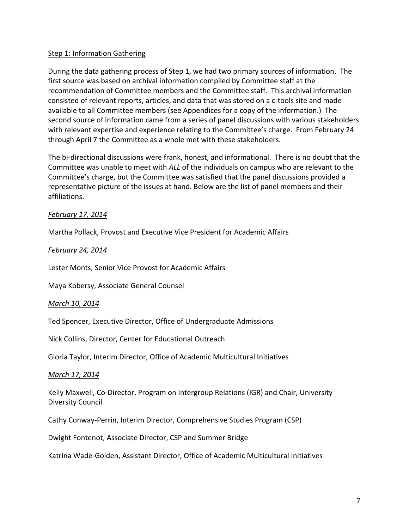# Step 1: Information Gathering

During the data gathering process of Step 1, we had two primary sources of information. The first source was based on archival information compiled by Committee staff at the recommendation of Committee members and the Committee staff. This archival information consisted of relevant reports, articles, and data that was stored on a c-tools site and made available to all Committee members (see Appendices for a copy of the information.) The second source of information came from a series of panel discussions with various stakeholders with relevant expertise and experience relating to the Committee's charge. From February 24 through April 7 the Committee as a whole met with these stakeholders.

The bi-directional discussions were frank, honest, and informational. There is no doubt that the Committee was unable to meet with *ALL* of the individuals on campus who are relevant to the Committee's charge, but the Committee was satisfied that the panel discussions provided a representative picture of the issues at hand. Below are the list of panel members and their affiliations.

## *February 17, 2014*

Martha Pollack, Provost and Executive Vice President for Academic Affairs

### *February 24, 2014*

Lester Monts, Senior Vice Provost for Academic Affairs

Maya Kobersy, Associate General Counsel

### *March 10, 2014*

Ted Spencer, Executive Director, Office of Undergraduate Admissions

Nick Collins, Director, Center for Educational Outreach

Gloria Taylor, Interim Director, Office of Academic Multicultural Initiatives

### *March 17, 2014*

Kelly Maxwell, Co-Director, Program on Intergroup Relations (IGR) and Chair, University Diversity Council 

Cathy Conway-Perrin, Interim Director, Comprehensive Studies Program (CSP)

Dwight Fontenot, Associate Director, CSP and Summer Bridge

Katrina Wade-Golden, Assistant Director, Office of Academic Multicultural Initiatives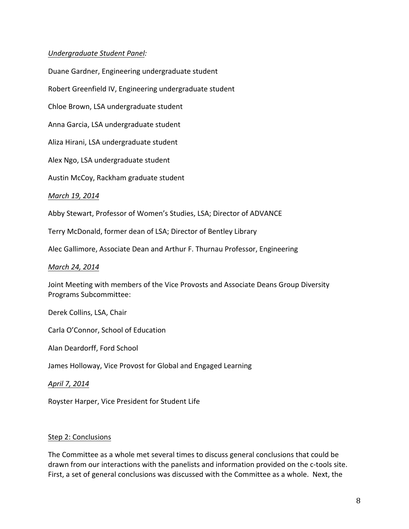# *Undergraduate Student Panel:*

Duane Gardner, Engineering undergraduate student Robert Greenfield IV, Engineering undergraduate student Chloe Brown, LSA undergraduate student Anna Garcia, LSA undergraduate student Aliza Hirani, LSA undergraduate student Alex Ngo, LSA undergraduate student Austin McCoy, Rackham graduate student *March 19, 2014* 

Abby Stewart, Professor of Women's Studies, LSA; Director of ADVANCE

Terry McDonald, former dean of LSA; Director of Bentley Library

Alec Gallimore, Associate Dean and Arthur F. Thurnau Professor, Engineering

#### *March 24, 2014*

Joint Meeting with members of the Vice Provosts and Associate Deans Group Diversity Programs Subcommittee:

Derek Collins, LSA, Chair

Carla O'Connor, School of Education

Alan Deardorff, Ford School

James Holloway, Vice Provost for Global and Engaged Learning

*April 7, 2014*

Royster Harper, Vice President for Student Life

### Step 2: Conclusions

The Committee as a whole met several times to discuss general conclusions that could be drawn from our interactions with the panelists and information provided on the c-tools site. First, a set of general conclusions was discussed with the Committee as a whole. Next, the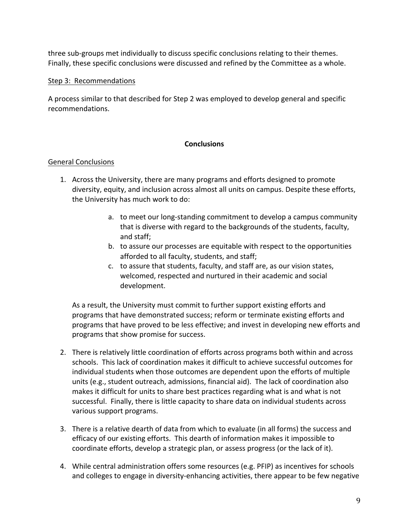three sub-groups met individually to discuss specific conclusions relating to their themes. Finally, these specific conclusions were discussed and refined by the Committee as a whole.

## Step 3: Recommendations

A process similar to that described for Step 2 was employed to develop general and specific recommendations. 

# **Conclusions**

## General Conclusions

- 1. Across the University, there are many programs and efforts designed to promote diversity, equity, and inclusion across almost all units on campus. Despite these efforts, the University has much work to do:
	- a. to meet our long-standing commitment to develop a campus community that is diverse with regard to the backgrounds of the students, faculty, and staff;
	- b. to assure our processes are equitable with respect to the opportunities afforded to all faculty, students, and staff;
	- c. to assure that students, faculty, and staff are, as our vision states, welcomed, respected and nurtured in their academic and social development.

As a result, the University must commit to further support existing efforts and programs that have demonstrated success; reform or terminate existing efforts and programs that have proved to be less effective; and invest in developing new efforts and programs that show promise for success.

- 2. There is relatively little coordination of efforts across programs both within and across schools. This lack of coordination makes it difficult to achieve successful outcomes for individual students when those outcomes are dependent upon the efforts of multiple units (e.g., student outreach, admissions, financial aid). The lack of coordination also makes it difficult for units to share best practices regarding what is and what is not successful. Finally, there is little capacity to share data on individual students across various support programs.
- 3. There is a relative dearth of data from which to evaluate (in all forms) the success and efficacy of our existing efforts. This dearth of information makes it impossible to coordinate efforts, develop a strategic plan, or assess progress (or the lack of it).
- 4. While central administration offers some resources (e.g. PFIP) as incentives for schools and colleges to engage in diversity-enhancing activities, there appear to be few negative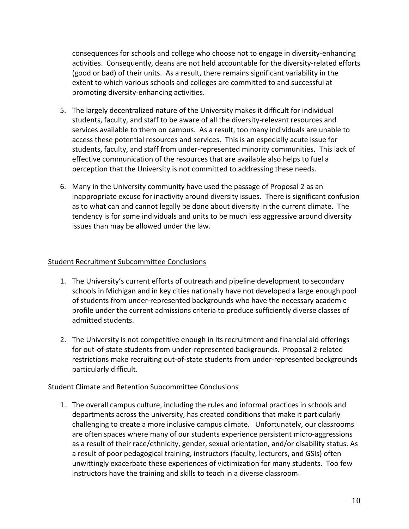consequences for schools and college who choose not to engage in diversity-enhancing activities. Consequently, deans are not held accountable for the diversity-related efforts (good or bad) of their units. As a result, there remains significant variability in the extent to which various schools and colleges are committed to and successful at promoting diversity-enhancing activities.

- 5. The largely decentralized nature of the University makes it difficult for individual students, faculty, and staff to be aware of all the diversity-relevant resources and services available to them on campus. As a result, too many individuals are unable to access these potential resources and services. This is an especially acute issue for students, faculty, and staff from under-represented minority communities. This lack of effective communication of the resources that are available also helps to fuel a perception that the University is not committed to addressing these needs.
- 6. Many in the University community have used the passage of Proposal 2 as an inappropriate excuse for inactivity around diversity issues. There is significant confusion as to what can and cannot legally be done about diversity in the current climate. The tendency is for some individuals and units to be much less aggressive around diversity issues than may be allowed under the law.

# Student Recruitment Subcommittee Conclusions

- 1. The University's current efforts of outreach and pipeline development to secondary schools in Michigan and in key cities nationally have not developed a large enough pool of students from under-represented backgrounds who have the necessary academic profile under the current admissions criteria to produce sufficiently diverse classes of admitted students.
- 2. The University is not competitive enough in its recruitment and financial aid offerings for out-of-state students from under-represented backgrounds. Proposal 2-related restrictions make recruiting out-of-state students from under-represented backgrounds particularly difficult.

# Student Climate and Retention Subcommittee Conclusions

1. The overall campus culture, including the rules and informal practices in schools and departments across the university, has created conditions that make it particularly challenging to create a more inclusive campus climate. Unfortunately, our classrooms are often spaces where many of our students experience persistent micro-aggressions as a result of their race/ethnicity, gender, sexual orientation, and/or disability status. As a result of poor pedagogical training, instructors (faculty, lecturers, and GSIs) often unwittingly exacerbate these experiences of victimization for many students. Too few instructors have the training and skills to teach in a diverse classroom.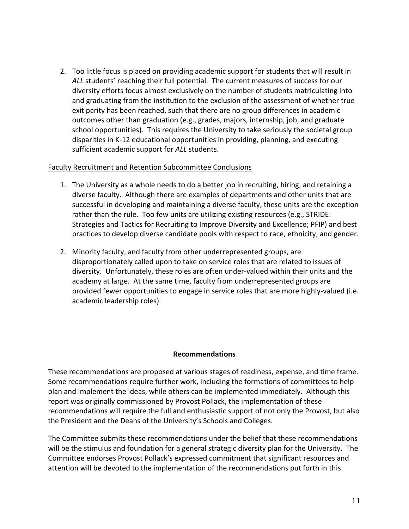2. Too little focus is placed on providing academic support for students that will result in ALL students' reaching their full potential. The current measures of success for our diversity efforts focus almost exclusively on the number of students matriculating into and graduating from the institution to the exclusion of the assessment of whether true exit parity has been reached, such that there are no group differences in academic outcomes other than graduation (e.g., grades, majors, internship, job, and graduate school opportunities). This requires the University to take seriously the societal group disparities in K-12 educational opportunities in providing, planning, and executing sufficient academic support for *ALL* students.

## Faculty Recruitment and Retention Subcommittee Conclusions

- 1. The University as a whole needs to do a better job in recruiting, hiring, and retaining a diverse faculty. Although there are examples of departments and other units that are successful in developing and maintaining a diverse faculty, these units are the exception rather than the rule. Too few units are utilizing existing resources (e.g., STRIDE: Strategies and Tactics for Recruiting to Improve Diversity and Excellence; PFIP) and best practices to develop diverse candidate pools with respect to race, ethnicity, and gender.
- 2. Minority faculty, and faculty from other underrepresented groups, are disproportionately called upon to take on service roles that are related to issues of diversity. Unfortunately, these roles are often under-valued within their units and the academy at large. At the same time, faculty from underrepresented groups are provided fewer opportunities to engage in service roles that are more highly-valued (i.e. academic leadership roles).

### **Recommendations**

These recommendations are proposed at various stages of readiness, expense, and time frame. Some recommendations require further work, including the formations of committees to help plan and implement the ideas, while others can be implemented immediately. Although this report was originally commissioned by Provost Pollack, the implementation of these recommendations will require the full and enthusiastic support of not only the Provost, but also the President and the Deans of the University's Schools and Colleges.

The Committee submits these recommendations under the belief that these recommendations will be the stimulus and foundation for a general strategic diversity plan for the University. The Committee endorses Provost Pollack's expressed commitment that significant resources and attention will be devoted to the implementation of the recommendations put forth in this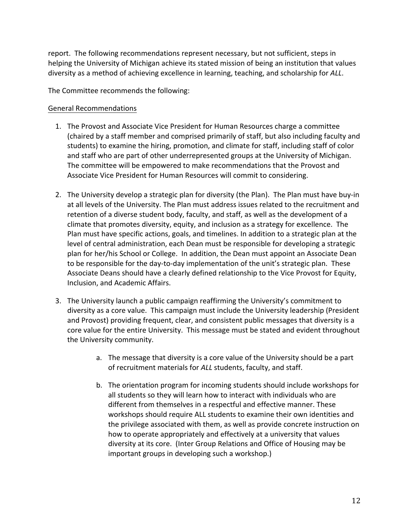report. The following recommendations represent necessary, but not sufficient, steps in helping the University of Michigan achieve its stated mission of being an institution that values diversity as a method of achieving excellence in learning, teaching, and scholarship for ALL.

The Committee recommends the following:

# General Recommendations

- 1. The Provost and Associate Vice President for Human Resources charge a committee (chaired by a staff member and comprised primarily of staff, but also including faculty and students) to examine the hiring, promotion, and climate for staff, including staff of color and staff who are part of other underrepresented groups at the University of Michigan. The committee will be empowered to make recommendations that the Provost and Associate Vice President for Human Resources will commit to considering.
- 2. The University develop a strategic plan for diversity (the Plan). The Plan must have buy-in at all levels of the University. The Plan must address issues related to the recruitment and retention of a diverse student body, faculty, and staff, as well as the development of a climate that promotes diversity, equity, and inclusion as a strategy for excellence. The Plan must have specific actions, goals, and timelines. In addition to a strategic plan at the level of central administration, each Dean must be responsible for developing a strategic plan for her/his School or College. In addition, the Dean must appoint an Associate Dean to be responsible for the day-to-day implementation of the unit's strategic plan. These Associate Deans should have a clearly defined relationship to the Vice Provost for Equity, Inclusion, and Academic Affairs.
- 3. The University launch a public campaign reaffirming the University's commitment to diversity as a core value. This campaign must include the University leadership (President and Provost) providing frequent, clear, and consistent public messages that diversity is a core value for the entire University. This message must be stated and evident throughout the University community.
	- a. The message that diversity is a core value of the University should be a part of recruitment materials for ALL students, faculty, and staff.
	- b. The orientation program for incoming students should include workshops for all students so they will learn how to interact with individuals who are different from themselves in a respectful and effective manner. These workshops should require ALL students to examine their own identities and the privilege associated with them, as well as provide concrete instruction on how to operate appropriately and effectively at a university that values diversity at its core. (Inter Group Relations and Office of Housing may be important groups in developing such a workshop.)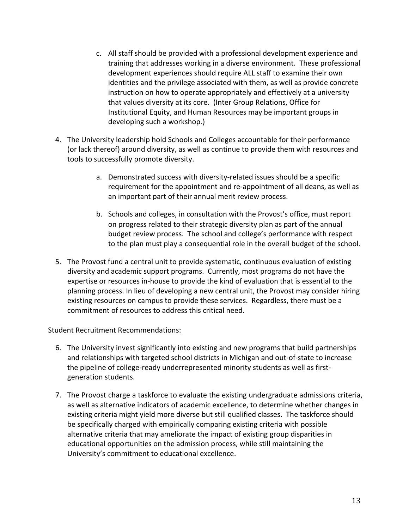- c. All staff should be provided with a professional development experience and training that addresses working in a diverse environment. These professional development experiences should require ALL staff to examine their own identities and the privilege associated with them, as well as provide concrete instruction on how to operate appropriately and effectively at a university that values diversity at its core. (Inter Group Relations, Office for Institutional Equity, and Human Resources may be important groups in developing such a workshop.)
- 4. The University leadership hold Schools and Colleges accountable for their performance (or lack thereof) around diversity, as well as continue to provide them with resources and tools to successfully promote diversity.
	- a. Demonstrated success with diversity-related issues should be a specific requirement for the appointment and re-appointment of all deans, as well as an important part of their annual merit review process.
	- b. Schools and colleges, in consultation with the Provost's office, must report on progress related to their strategic diversity plan as part of the annual budget review process. The school and college's performance with respect to the plan must play a consequential role in the overall budget of the school.
- 5. The Provost fund a central unit to provide systematic, continuous evaluation of existing diversity and academic support programs. Currently, most programs do not have the expertise or resources in-house to provide the kind of evaluation that is essential to the planning process. In lieu of developing a new central unit, the Provost may consider hiring existing resources on campus to provide these services. Regardless, there must be a commitment of resources to address this critical need.

# Student Recruitment Recommendations:

- 6. The University invest significantly into existing and new programs that build partnerships and relationships with targeted school districts in Michigan and out-of-state to increase the pipeline of college-ready underrepresented minority students as well as firstgeneration students.
- 7. The Provost charge a taskforce to evaluate the existing undergraduate admissions criteria, as well as alternative indicators of academic excellence, to determine whether changes in existing criteria might yield more diverse but still qualified classes. The taskforce should be specifically charged with empirically comparing existing criteria with possible alternative criteria that may ameliorate the impact of existing group disparities in educational opportunities on the admission process, while still maintaining the University's commitment to educational excellence.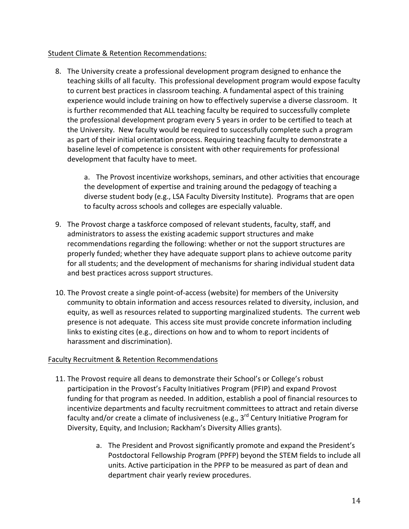# Student Climate & Retention Recommendations:

8. The University create a professional development program designed to enhance the teaching skills of all faculty. This professional development program would expose faculty to current best practices in classroom teaching. A fundamental aspect of this training experience would include training on how to effectively supervise a diverse classroom. It is further recommended that ALL teaching faculty be required to successfully complete the professional development program every 5 years in order to be certified to teach at the University. New faculty would be required to successfully complete such a program as part of their initial orientation process. Requiring teaching faculty to demonstrate a baseline level of competence is consistent with other requirements for professional development that faculty have to meet.

a. The Provost incentivize workshops, seminars, and other activities that encourage the development of expertise and training around the pedagogy of teaching a diverse student body (e.g., LSA Faculty Diversity Institute). Programs that are open to faculty across schools and colleges are especially valuable.

- 9. The Provost charge a taskforce composed of relevant students, faculty, staff, and administrators to assess the existing academic support structures and make recommendations regarding the following: whether or not the support structures are properly funded; whether they have adequate support plans to achieve outcome parity for all students; and the development of mechanisms for sharing individual student data and best practices across support structures.
- 10. The Provost create a single point-of-access (website) for members of the University community to obtain information and access resources related to diversity, inclusion, and equity, as well as resources related to supporting marginalized students. The current web presence is not adequate. This access site must provide concrete information including links to existing cites (e.g., directions on how and to whom to report incidents of harassment and discrimination).

# Faculty Recruitment & Retention Recommendations

- 11. The Provost require all deans to demonstrate their School's or College's robust participation in the Provost's Faculty Initiatives Program (PFIP) and expand Provost funding for that program as needed. In addition, establish a pool of financial resources to incentivize departments and faculty recruitment committees to attract and retain diverse faculty and/or create a climate of inclusiveness (e.g.,  $3^{rd}$  Century Initiative Program for Diversity, Equity, and Inclusion; Rackham's Diversity Allies grants).
	- a. The President and Provost significantly promote and expand the President's Postdoctoral Fellowship Program (PPFP) beyond the STEM fields to include all units. Active participation in the PPFP to be measured as part of dean and department chair yearly review procedures.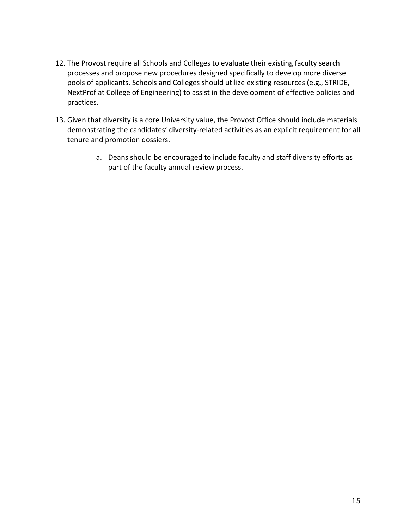- 12. The Provost require all Schools and Colleges to evaluate their existing faculty search processes and propose new procedures designed specifically to develop more diverse pools of applicants. Schools and Colleges should utilize existing resources (e.g., STRIDE, NextProf at College of Engineering) to assist in the development of effective policies and practices.
- 13. Given that diversity is a core University value, the Provost Office should include materials demonstrating the candidates' diversity-related activities as an explicit requirement for all tenure and promotion dossiers.
	- a. Deans should be encouraged to include faculty and staff diversity efforts as part of the faculty annual review process.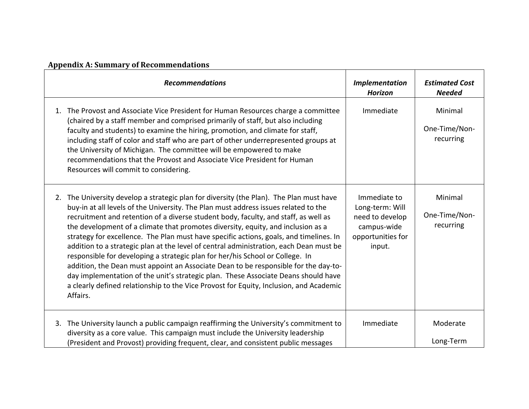# **Appendix A: Summary of Recommendations**

| <b>Recommendations</b>                                                                                                                                                                                                                                                                                                                                                                                                                                                                                                                                                                                                                                                                                                                                                                                                                                                                                            | Implementation<br><b>Horizon</b>                                                                 | <b>Estimated Cost</b><br><b>Needed</b> |
|-------------------------------------------------------------------------------------------------------------------------------------------------------------------------------------------------------------------------------------------------------------------------------------------------------------------------------------------------------------------------------------------------------------------------------------------------------------------------------------------------------------------------------------------------------------------------------------------------------------------------------------------------------------------------------------------------------------------------------------------------------------------------------------------------------------------------------------------------------------------------------------------------------------------|--------------------------------------------------------------------------------------------------|----------------------------------------|
| The Provost and Associate Vice President for Human Resources charge a committee<br>1.<br>(chaired by a staff member and comprised primarily of staff, but also including<br>faculty and students) to examine the hiring, promotion, and climate for staff,<br>including staff of color and staff who are part of other underrepresented groups at<br>the University of Michigan. The committee will be empowered to make<br>recommendations that the Provost and Associate Vice President for Human<br>Resources will commit to considering.                                                                                                                                                                                                                                                                                                                                                                      | Immediate                                                                                        | Minimal<br>One-Time/Non-<br>recurring  |
| 2. The University develop a strategic plan for diversity (the Plan). The Plan must have<br>buy-in at all levels of the University. The Plan must address issues related to the<br>recruitment and retention of a diverse student body, faculty, and staff, as well as<br>the development of a climate that promotes diversity, equity, and inclusion as a<br>strategy for excellence. The Plan must have specific actions, goals, and timelines. In<br>addition to a strategic plan at the level of central administration, each Dean must be<br>responsible for developing a strategic plan for her/his School or College. In<br>addition, the Dean must appoint an Associate Dean to be responsible for the day-to-<br>day implementation of the unit's strategic plan. These Associate Deans should have<br>a clearly defined relationship to the Vice Provost for Equity, Inclusion, and Academic<br>Affairs. | Immediate to<br>Long-term: Will<br>need to develop<br>campus-wide<br>opportunities for<br>input. | Minimal<br>One-Time/Non-<br>recurring  |
| The University launch a public campaign reaffirming the University's commitment to<br>3.<br>diversity as a core value. This campaign must include the University leadership<br>(President and Provost) providing frequent, clear, and consistent public messages                                                                                                                                                                                                                                                                                                                                                                                                                                                                                                                                                                                                                                                  | Immediate                                                                                        | Moderate<br>Long-Term                  |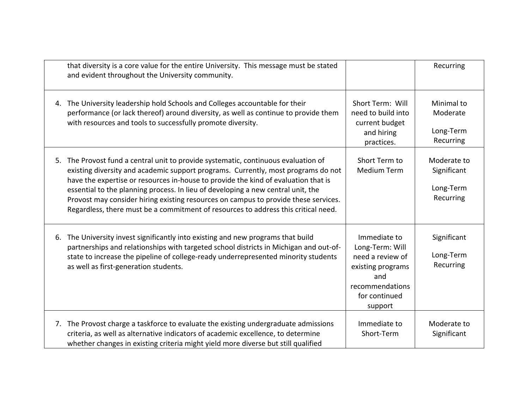| that diversity is a core value for the entire University. This message must be stated<br>and evident throughout the University community.                                                                                                                                                                                                                                                                                                                                                                                      |                                                                                                                                | Recurring                                            |
|--------------------------------------------------------------------------------------------------------------------------------------------------------------------------------------------------------------------------------------------------------------------------------------------------------------------------------------------------------------------------------------------------------------------------------------------------------------------------------------------------------------------------------|--------------------------------------------------------------------------------------------------------------------------------|------------------------------------------------------|
| 4. The University leadership hold Schools and Colleges accountable for their<br>performance (or lack thereof) around diversity, as well as continue to provide them<br>with resources and tools to successfully promote diversity.                                                                                                                                                                                                                                                                                             | Short Term: Will<br>need to build into<br>current budget<br>and hiring<br>practices.                                           | Minimal to<br>Moderate<br>Long-Term<br>Recurring     |
| 5. The Provost fund a central unit to provide systematic, continuous evaluation of<br>existing diversity and academic support programs. Currently, most programs do not<br>have the expertise or resources in-house to provide the kind of evaluation that is<br>essential to the planning process. In lieu of developing a new central unit, the<br>Provost may consider hiring existing resources on campus to provide these services.<br>Regardless, there must be a commitment of resources to address this critical need. | Short Term to<br><b>Medium Term</b>                                                                                            | Moderate to<br>Significant<br>Long-Term<br>Recurring |
| 6. The University invest significantly into existing and new programs that build<br>partnerships and relationships with targeted school districts in Michigan and out-of-<br>state to increase the pipeline of college-ready underrepresented minority students<br>as well as first-generation students.                                                                                                                                                                                                                       | Immediate to<br>Long-Term: Will<br>need a review of<br>existing programs<br>and<br>recommendations<br>for continued<br>support | Significant<br>Long-Term<br>Recurring                |
| 7. The Provost charge a taskforce to evaluate the existing undergraduate admissions<br>criteria, as well as alternative indicators of academic excellence, to determine<br>whether changes in existing criteria might yield more diverse but still qualified                                                                                                                                                                                                                                                                   | Immediate to<br>Short-Term                                                                                                     | Moderate to<br>Significant                           |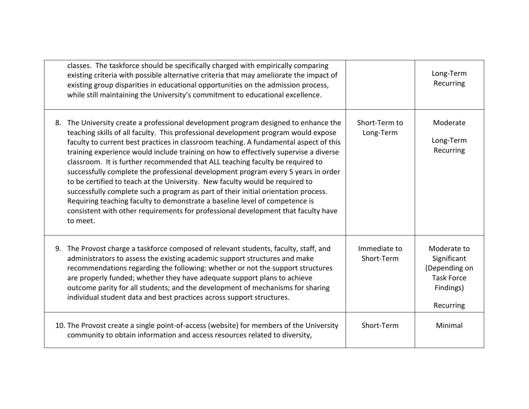| classes. The taskforce should be specifically charged with empirically comparing<br>existing criteria with possible alternative criteria that may ameliorate the impact of<br>existing group disparities in educational opportunities on the admission process,<br>while still maintaining the University's commitment to educational excellence.                                                                                                                                                                                                                                                                                                                                                                                                                                                                                                                                      |                            | Long-Term<br>Recurring                                                                     |
|----------------------------------------------------------------------------------------------------------------------------------------------------------------------------------------------------------------------------------------------------------------------------------------------------------------------------------------------------------------------------------------------------------------------------------------------------------------------------------------------------------------------------------------------------------------------------------------------------------------------------------------------------------------------------------------------------------------------------------------------------------------------------------------------------------------------------------------------------------------------------------------|----------------------------|--------------------------------------------------------------------------------------------|
| 8. The University create a professional development program designed to enhance the<br>teaching skills of all faculty. This professional development program would expose<br>faculty to current best practices in classroom teaching. A fundamental aspect of this<br>training experience would include training on how to effectively supervise a diverse<br>classroom. It is further recommended that ALL teaching faculty be required to<br>successfully complete the professional development program every 5 years in order<br>to be certified to teach at the University. New faculty would be required to<br>successfully complete such a program as part of their initial orientation process.<br>Requiring teaching faculty to demonstrate a baseline level of competence is<br>consistent with other requirements for professional development that faculty have<br>to meet. | Short-Term to<br>Long-Term | Moderate<br>Long-Term<br>Recurring                                                         |
| 9. The Provost charge a taskforce composed of relevant students, faculty, staff, and<br>administrators to assess the existing academic support structures and make<br>recommendations regarding the following: whether or not the support structures<br>are properly funded; whether they have adequate support plans to achieve<br>outcome parity for all students; and the development of mechanisms for sharing<br>individual student data and best practices across support structures.                                                                                                                                                                                                                                                                                                                                                                                            | Immediate to<br>Short-Term | Moderate to<br>Significant<br>(Depending on<br><b>Task Force</b><br>Findings)<br>Recurring |
| 10. The Provost create a single point-of-access (website) for members of the University<br>community to obtain information and access resources related to diversity,                                                                                                                                                                                                                                                                                                                                                                                                                                                                                                                                                                                                                                                                                                                  | Short-Term                 | Minimal                                                                                    |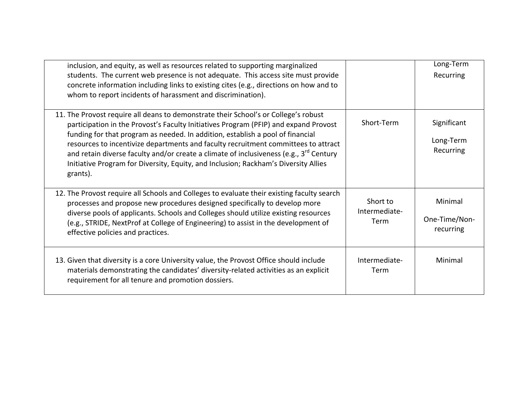| inclusion, and equity, as well as resources related to supporting marginalized<br>students. The current web presence is not adequate. This access site must provide<br>concrete information including links to existing cites (e.g., directions on how and to<br>whom to report incidents of harassment and discrimination).                                                                                                                                                                                                                                 |                                   | Long-Term<br>Recurring                |
|--------------------------------------------------------------------------------------------------------------------------------------------------------------------------------------------------------------------------------------------------------------------------------------------------------------------------------------------------------------------------------------------------------------------------------------------------------------------------------------------------------------------------------------------------------------|-----------------------------------|---------------------------------------|
| 11. The Provost require all deans to demonstrate their School's or College's robust<br>participation in the Provost's Faculty Initiatives Program (PFIP) and expand Provost<br>funding for that program as needed. In addition, establish a pool of financial<br>resources to incentivize departments and faculty recruitment committees to attract<br>and retain diverse faculty and/or create a climate of inclusiveness (e.g., 3 <sup>rd</sup> Century<br>Initiative Program for Diversity, Equity, and Inclusion; Rackham's Diversity Allies<br>grants). | Short-Term                        | Significant<br>Long-Term<br>Recurring |
| 12. The Provost require all Schools and Colleges to evaluate their existing faculty search<br>processes and propose new procedures designed specifically to develop more<br>diverse pools of applicants. Schools and Colleges should utilize existing resources<br>(e.g., STRIDE, NextProf at College of Engineering) to assist in the development of<br>effective policies and practices.                                                                                                                                                                   | Short to<br>Intermediate-<br>Term | Minimal<br>One-Time/Non-<br>recurring |
| 13. Given that diversity is a core University value, the Provost Office should include<br>materials demonstrating the candidates' diversity-related activities as an explicit<br>requirement for all tenure and promotion dossiers.                                                                                                                                                                                                                                                                                                                          | Intermediate-<br>Term             | Minimal                               |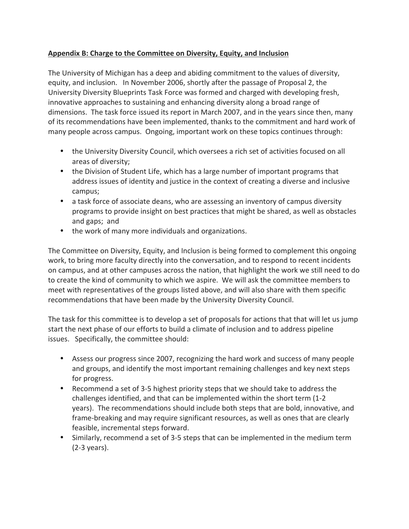# Appendix B: Charge to the Committee on Diversity, Equity, and Inclusion

The University of Michigan has a deep and abiding commitment to the values of diversity, equity, and inclusion. In November 2006, shortly after the passage of Proposal 2, the University Diversity Blueprints Task Force was formed and charged with developing fresh, innovative approaches to sustaining and enhancing diversity along a broad range of dimensions. The task force issued its report in March 2007, and in the years since then, many of its recommendations have been implemented, thanks to the commitment and hard work of many people across campus. Ongoing, important work on these topics continues through:

- the University Diversity Council, which oversees a rich set of activities focused on all areas of diversity;
- the Division of Student Life, which has a large number of important programs that address issues of identity and justice in the context of creating a diverse and inclusive campus;
- a task force of associate deans, who are assessing an inventory of campus diversity programs to provide insight on best practices that might be shared, as well as obstacles and gaps; and
- the work of many more individuals and organizations.

The Committee on Diversity, Equity, and Inclusion is being formed to complement this ongoing work, to bring more faculty directly into the conversation, and to respond to recent incidents on campus, and at other campuses across the nation, that highlight the work we still need to do to create the kind of community to which we aspire. We will ask the committee members to meet with representatives of the groups listed above, and will also share with them specific recommendations that have been made by the University Diversity Council.

The task for this committee is to develop a set of proposals for actions that that will let us jump start the next phase of our efforts to build a climate of inclusion and to address pipeline issues. Specifically, the committee should:

- Assess our progress since 2007, recognizing the hard work and success of many people and groups, and identify the most important remaining challenges and key next steps for progress.
- Recommend a set of 3-5 highest priority steps that we should take to address the challenges identified, and that can be implemented within the short term (1-2 years). The recommendations should include both steps that are bold, innovative, and frame-breaking and may require significant resources, as well as ones that are clearly feasible, incremental steps forward.
- Similarly, recommend a set of 3-5 steps that can be implemented in the medium term (2-3 years).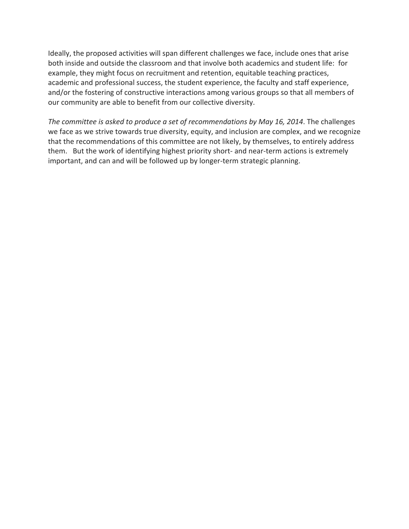Ideally, the proposed activities will span different challenges we face, include ones that arise both inside and outside the classroom and that involve both academics and student life: for example, they might focus on recruitment and retention, equitable teaching practices, academic and professional success, the student experience, the faculty and staff experience, and/or the fostering of constructive interactions among various groups so that all members of our community are able to benefit from our collective diversity.

The committee is asked to produce a set of recommendations by May 16, 2014. The challenges we face as we strive towards true diversity, equity, and inclusion are complex, and we recognize that the recommendations of this committee are not likely, by themselves, to entirely address them. But the work of identifying highest priority short- and near-term actions is extremely important, and can and will be followed up by longer-term strategic planning.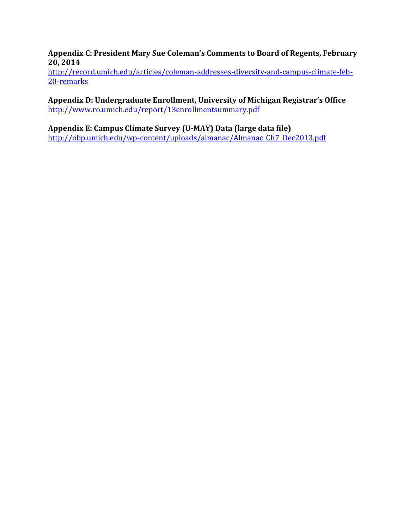Appendix C: President Mary Sue Coleman's Comments to Board of Regents, February **20, 2014**

http://record.umich.edu/articles/coleman-addresses-diversity-and-campus-climate-feb-20-remarks

Appendix D: Undergraduate Enrollment, University of Michigan Registrar's Office http://www.ro.umich.edu/report/13enrollmentsummary.pdf

# Appendix E: Campus Climate Survey (U-MAY) Data (large data file)

http://obp.umich.edu/wp-content/uploads/almanac/Almanac\_Ch7\_Dec2013.pdf